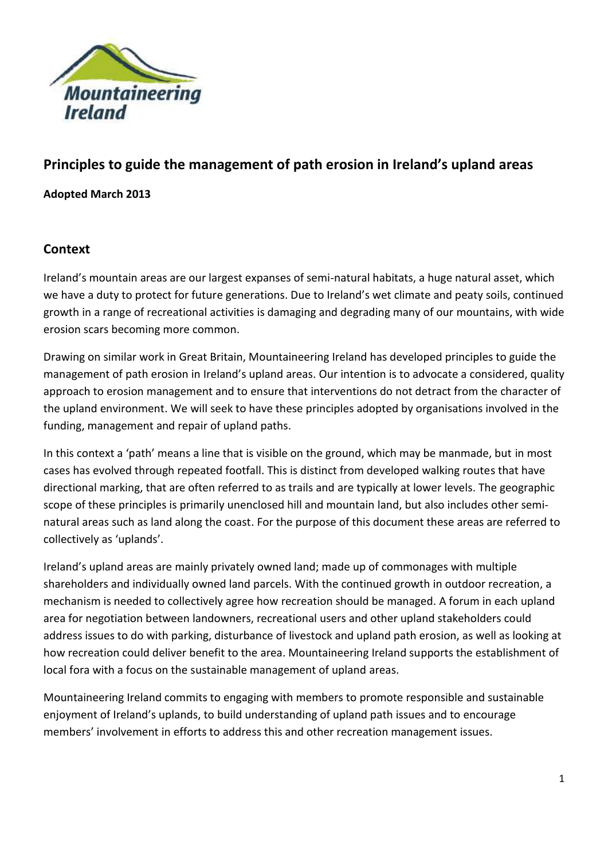

# **Principles to guide the management of path erosion in Ireland's upland areas**

**Adopted March 2013**

### **Context**

Ireland's mountain areas are our largest expanses of semi-natural habitats, a huge natural asset, which we have a duty to protect for future generations. Due to Ireland's wet climate and peaty soils, continued growth in a range of recreational activities is damaging and degrading many of our mountains, with wide erosion scars becoming more common.

Drawing on similar work in Great Britain, Mountaineering Ireland has developed principles to guide the management of path erosion in Ireland's upland areas. Our intention is to advocate a considered, quality approach to erosion management and to ensure that interventions do not detract from the character of the upland environment. We will seek to have these principles adopted by organisations involved in the funding, management and repair of upland paths.

In this context a 'path' means a line that is visible on the ground, which may be manmade, but in most cases has evolved through repeated footfall. This is distinct from developed walking routes that have directional marking, that are often referred to as trails and are typically at lower levels. The geographic scope of these principles is primarily unenclosed hill and mountain land, but also includes other seminatural areas such as land along the coast. For the purpose of this document these areas are referred to collectively as 'uplands'.

Ireland's upland areas are mainly privately owned land; made up of commonages with multiple shareholders and individually owned land parcels. With the continued growth in outdoor recreation, a mechanism is needed to collectively agree how recreation should be managed. A forum in each upland area for negotiation between landowners, recreational users and other upland stakeholders could address issues to do with parking, disturbance of livestock and upland path erosion, as well as looking at how recreation could deliver benefit to the area. Mountaineering Ireland supports the establishment of local fora with a focus on the sustainable management of upland areas.

Mountaineering Ireland commits to engaging with members to promote responsible and sustainable enjoyment of Ireland's uplands, to build understanding of upland path issues and to encourage members' involvement in efforts to address this and other recreation management issues.